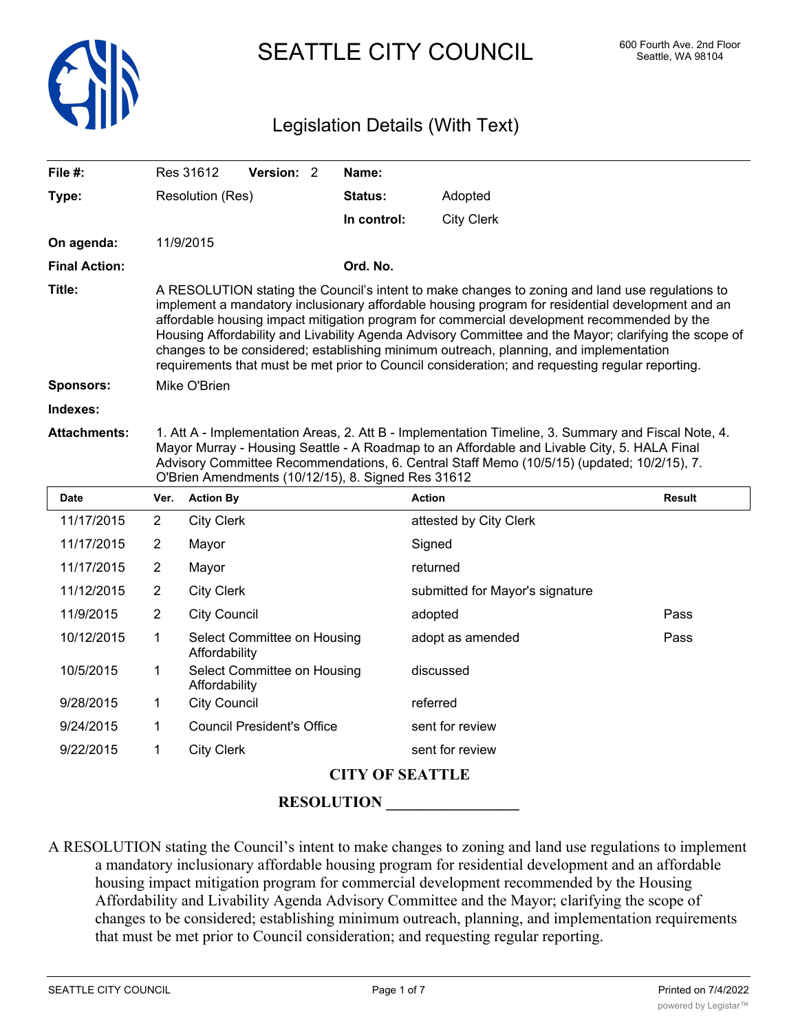

# SEATTLE CITY COUNCIL 600 Fourth Ave. 2nd Floor

### Legislation Details (With Text)

| File #:              |                                                                                                                                                                                                                                                                                                                                                                                                                                                                                                                                                                                                        | Res 31612           | Version: 2                        |  | Name:       |                                 |               |
|----------------------|--------------------------------------------------------------------------------------------------------------------------------------------------------------------------------------------------------------------------------------------------------------------------------------------------------------------------------------------------------------------------------------------------------------------------------------------------------------------------------------------------------------------------------------------------------------------------------------------------------|---------------------|-----------------------------------|--|-------------|---------------------------------|---------------|
| Type:                |                                                                                                                                                                                                                                                                                                                                                                                                                                                                                                                                                                                                        | Resolution (Res)    |                                   |  | Status:     | Adopted                         |               |
|                      |                                                                                                                                                                                                                                                                                                                                                                                                                                                                                                                                                                                                        |                     |                                   |  | In control: | <b>City Clerk</b>               |               |
| On agenda:           |                                                                                                                                                                                                                                                                                                                                                                                                                                                                                                                                                                                                        | 11/9/2015           |                                   |  |             |                                 |               |
| <b>Final Action:</b> |                                                                                                                                                                                                                                                                                                                                                                                                                                                                                                                                                                                                        |                     |                                   |  | Ord. No.    |                                 |               |
| Title:               | A RESOLUTION stating the Council's intent to make changes to zoning and land use regulations to<br>implement a mandatory inclusionary affordable housing program for residential development and an<br>affordable housing impact mitigation program for commercial development recommended by the<br>Housing Affordability and Livability Agenda Advisory Committee and the Mayor; clarifying the scope of<br>changes to be considered; establishing minimum outreach, planning, and implementation<br>requirements that must be met prior to Council consideration; and requesting regular reporting. |                     |                                   |  |             |                                 |               |
| Sponsors:            | Mike O'Brien                                                                                                                                                                                                                                                                                                                                                                                                                                                                                                                                                                                           |                     |                                   |  |             |                                 |               |
| Indexes:             |                                                                                                                                                                                                                                                                                                                                                                                                                                                                                                                                                                                                        |                     |                                   |  |             |                                 |               |
| <b>Attachments:</b>  | 1. Att A - Implementation Areas, 2. Att B - Implementation Timeline, 3. Summary and Fiscal Note, 4.<br>Mayor Murray - Housing Seattle - A Roadmap to an Affordable and Livable City, 5. HALA Final<br>Advisory Committee Recommendations, 6. Central Staff Memo (10/5/15) (updated; 10/2/15), 7.<br>O'Brien Amendments (10/12/15), 8. Signed Res 31612                                                                                                                                                                                                                                                 |                     |                                   |  |             |                                 |               |
| <b>Date</b>          | Ver.                                                                                                                                                                                                                                                                                                                                                                                                                                                                                                                                                                                                   | <b>Action By</b>    |                                   |  |             | <b>Action</b>                   | <b>Result</b> |
| 11/17/2015           | 2                                                                                                                                                                                                                                                                                                                                                                                                                                                                                                                                                                                                      | <b>City Clerk</b>   |                                   |  |             | attested by City Clerk          |               |
| 11/17/2015           | $\overline{2}$                                                                                                                                                                                                                                                                                                                                                                                                                                                                                                                                                                                         | Mayor               |                                   |  |             | Signed                          |               |
| 11/17/2015           | $\overline{2}$                                                                                                                                                                                                                                                                                                                                                                                                                                                                                                                                                                                         | Mayor               |                                   |  |             | returned                        |               |
| 11/12/2015           | $\overline{2}$                                                                                                                                                                                                                                                                                                                                                                                                                                                                                                                                                                                         | <b>City Clerk</b>   |                                   |  |             | submitted for Mayor's signature |               |
| 11/9/2015            | 2                                                                                                                                                                                                                                                                                                                                                                                                                                                                                                                                                                                                      | <b>City Council</b> |                                   |  |             | adopted                         | Pass          |
| 10/12/2015           | 1                                                                                                                                                                                                                                                                                                                                                                                                                                                                                                                                                                                                      | Affordability       | Select Committee on Housing       |  |             | adopt as amended                | Pass          |
| 10/5/2015            | 1                                                                                                                                                                                                                                                                                                                                                                                                                                                                                                                                                                                                      | Affordability       | Select Committee on Housing       |  |             | discussed                       |               |
| 9/28/2015            | 1                                                                                                                                                                                                                                                                                                                                                                                                                                                                                                                                                                                                      | <b>City Council</b> |                                   |  |             | referred                        |               |
| 9/24/2015            | 1                                                                                                                                                                                                                                                                                                                                                                                                                                                                                                                                                                                                      |                     | <b>Council President's Office</b> |  |             | sent for review                 |               |

9/22/2015 1 City Clerk sent for review

### **CITY OF SEATTLE**

**RESOLUTION** 

A RESOLUTION stating the Council's intent to make changes to zoning and land use regulations to implement a mandatory inclusionary affordable housing program for residential development and an affordable housing impact mitigation program for commercial development recommended by the Housing Affordability and Livability Agenda Advisory Committee and the Mayor; clarifying the scope of changes to be considered; establishing minimum outreach, planning, and implementation requirements that must be met prior to Council consideration; and requesting regular reporting.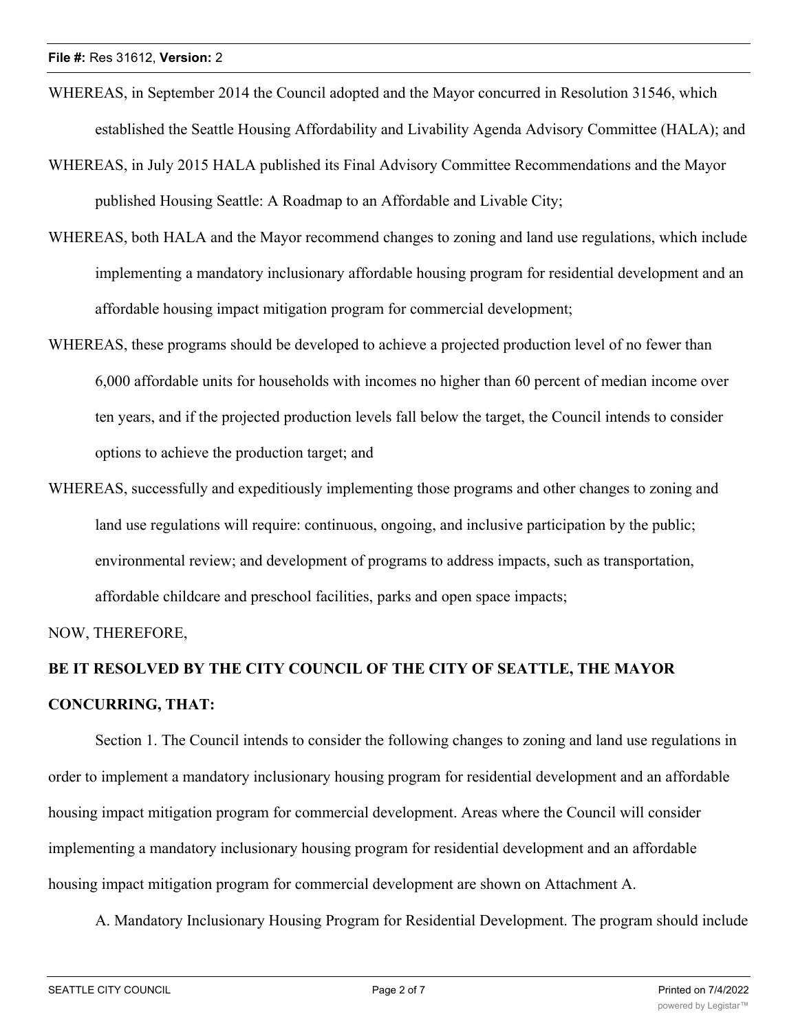- WHEREAS, in September 2014 the Council adopted and the Mayor concurred in Resolution 31546, which established the Seattle Housing Affordability and Livability Agenda Advisory Committee (HALA); and
- WHEREAS, in July 2015 HALA published its Final Advisory Committee Recommendations and the Mayor published Housing Seattle: A Roadmap to an Affordable and Livable City;
- WHEREAS, both HALA and the Mayor recommend changes to zoning and land use regulations, which include implementing a mandatory inclusionary affordable housing program for residential development and an affordable housing impact mitigation program for commercial development;
- WHEREAS, these programs should be developed to achieve a projected production level of no fewer than 6,000 affordable units for households with incomes no higher than 60 percent of median income over ten years, and if the projected production levels fall below the target, the Council intends to consider options to achieve the production target; and
- WHEREAS, successfully and expeditiously implementing those programs and other changes to zoning and land use regulations will require: continuous, ongoing, and inclusive participation by the public; environmental review; and development of programs to address impacts, such as transportation, affordable childcare and preschool facilities, parks and open space impacts;

NOW, THEREFORE,

## **BE IT RESOLVED BY THE CITY COUNCIL OF THE CITY OF SEATTLE, THE MAYOR CONCURRING, THAT:**

Section 1. The Council intends to consider the following changes to zoning and land use regulations in order to implement a mandatory inclusionary housing program for residential development and an affordable housing impact mitigation program for commercial development. Areas where the Council will consider implementing a mandatory inclusionary housing program for residential development and an affordable housing impact mitigation program for commercial development are shown on Attachment A.

A. Mandatory Inclusionary Housing Program for Residential Development. The program should include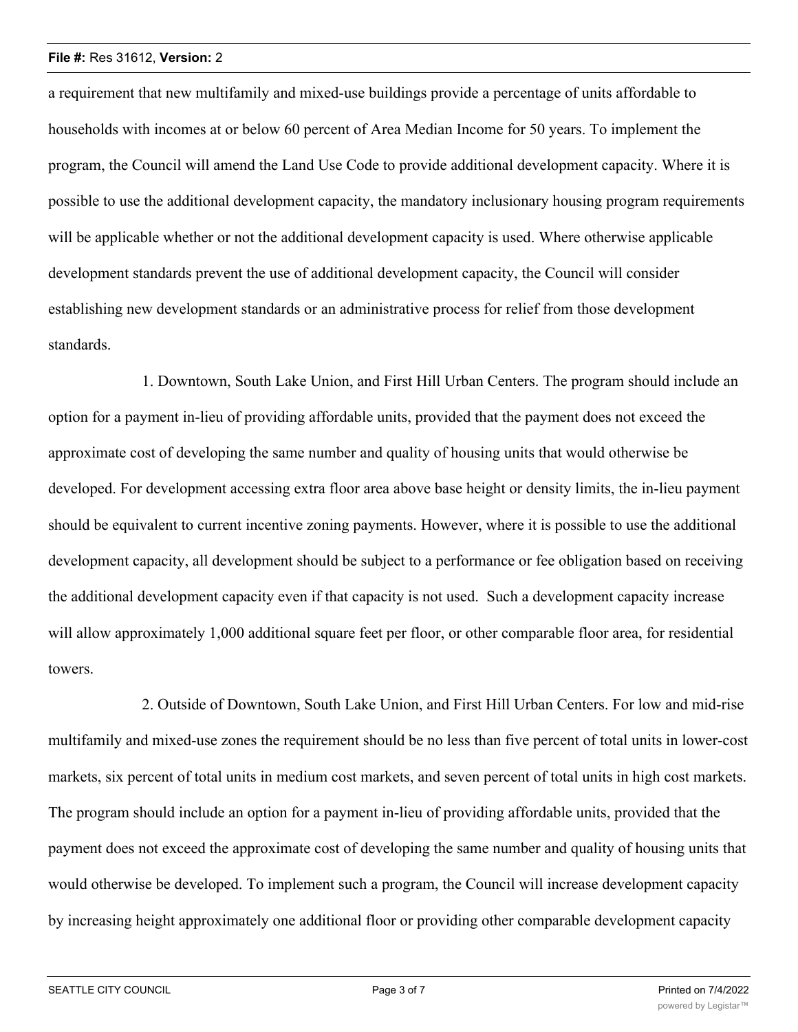a requirement that new multifamily and mixed-use buildings provide a percentage of units affordable to households with incomes at or below 60 percent of Area Median Income for 50 years. To implement the program, the Council will amend the Land Use Code to provide additional development capacity. Where it is possible to use the additional development capacity, the mandatory inclusionary housing program requirements will be applicable whether or not the additional development capacity is used. Where otherwise applicable development standards prevent the use of additional development capacity, the Council will consider establishing new development standards or an administrative process for relief from those development standards.

1. Downtown, South Lake Union, and First Hill Urban Centers. The program should include an option for a payment in-lieu of providing affordable units, provided that the payment does not exceed the approximate cost of developing the same number and quality of housing units that would otherwise be developed. For development accessing extra floor area above base height or density limits, the in-lieu payment should be equivalent to current incentive zoning payments. However, where it is possible to use the additional development capacity, all development should be subject to a performance or fee obligation based on receiving the additional development capacity even if that capacity is not used. Such a development capacity increase will allow approximately 1,000 additional square feet per floor, or other comparable floor area, for residential towers.

2. Outside of Downtown, South Lake Union, and First Hill Urban Centers. For low and mid-rise multifamily and mixed-use zones the requirement should be no less than five percent of total units in lower-cost markets, six percent of total units in medium cost markets, and seven percent of total units in high cost markets. The program should include an option for a payment in-lieu of providing affordable units, provided that the payment does not exceed the approximate cost of developing the same number and quality of housing units that would otherwise be developed. To implement such a program, the Council will increase development capacity by increasing height approximately one additional floor or providing other comparable development capacity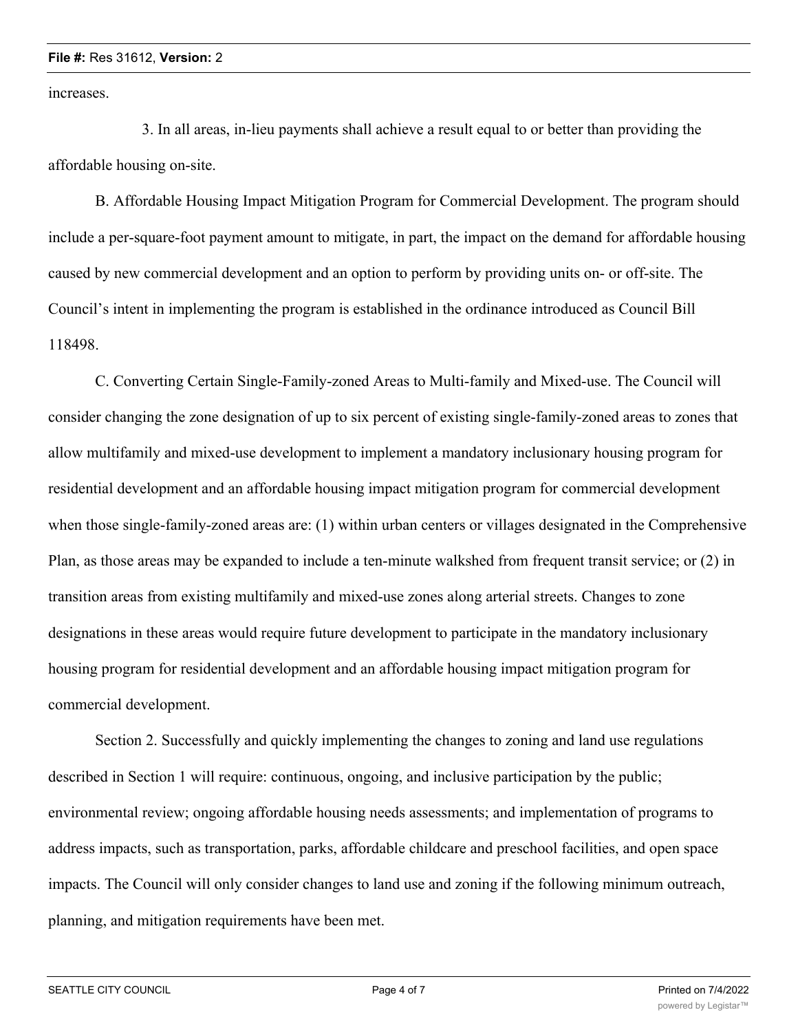increases.

3. In all areas, in-lieu payments shall achieve a result equal to or better than providing the affordable housing on-site.

B. Affordable Housing Impact Mitigation Program for Commercial Development. The program should include a per-square-foot payment amount to mitigate, in part, the impact on the demand for affordable housing caused by new commercial development and an option to perform by providing units on- or off-site. The Council's intent in implementing the program is established in the ordinance introduced as Council Bill 118498.

C. Converting Certain Single-Family-zoned Areas to Multi-family and Mixed-use. The Council will consider changing the zone designation of up to six percent of existing single-family-zoned areas to zones that allow multifamily and mixed-use development to implement a mandatory inclusionary housing program for residential development and an affordable housing impact mitigation program for commercial development when those single-family-zoned areas are: (1) within urban centers or villages designated in the Comprehensive Plan, as those areas may be expanded to include a ten-minute walkshed from frequent transit service; or (2) in transition areas from existing multifamily and mixed-use zones along arterial streets. Changes to zone designations in these areas would require future development to participate in the mandatory inclusionary housing program for residential development and an affordable housing impact mitigation program for commercial development.

Section 2. Successfully and quickly implementing the changes to zoning and land use regulations described in Section 1 will require: continuous, ongoing, and inclusive participation by the public; environmental review; ongoing affordable housing needs assessments; and implementation of programs to address impacts, such as transportation, parks, affordable childcare and preschool facilities, and open space impacts. The Council will only consider changes to land use and zoning if the following minimum outreach, planning, and mitigation requirements have been met.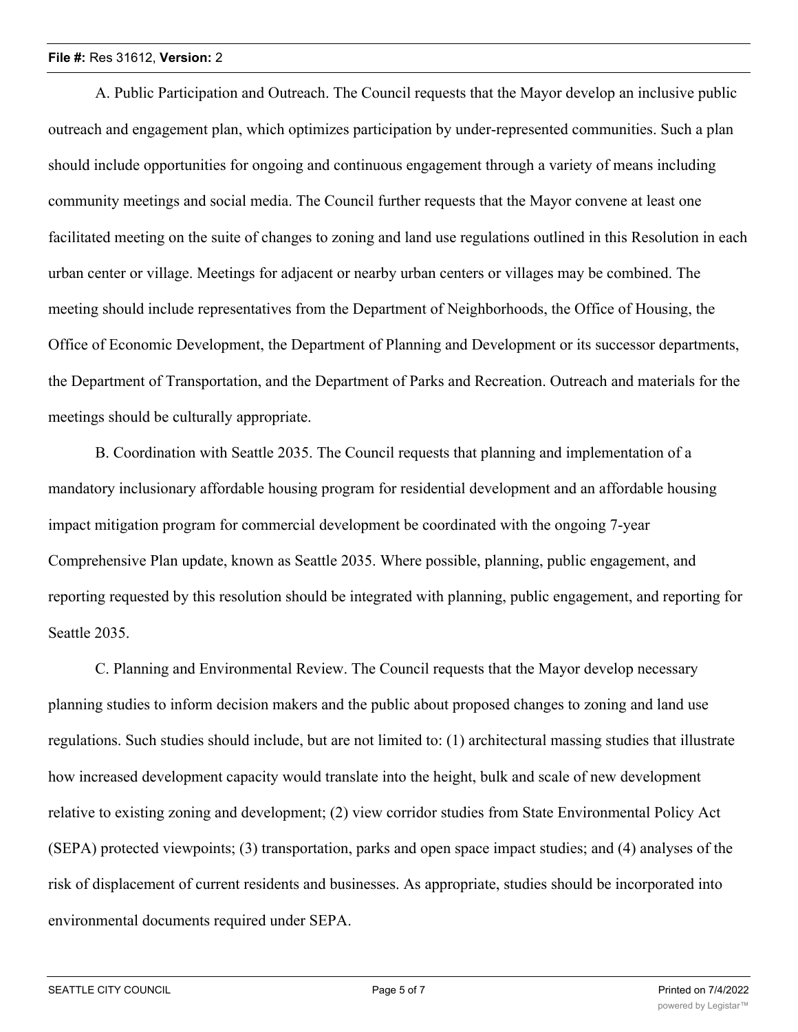A. Public Participation and Outreach. The Council requests that the Mayor develop an inclusive public outreach and engagement plan, which optimizes participation by under-represented communities. Such a plan should include opportunities for ongoing and continuous engagement through a variety of means including community meetings and social media. The Council further requests that the Mayor convene at least one facilitated meeting on the suite of changes to zoning and land use regulations outlined in this Resolution in each urban center or village. Meetings for adjacent or nearby urban centers or villages may be combined. The meeting should include representatives from the Department of Neighborhoods, the Office of Housing, the Office of Economic Development, the Department of Planning and Development or its successor departments, the Department of Transportation, and the Department of Parks and Recreation. Outreach and materials for the meetings should be culturally appropriate.

B. Coordination with Seattle 2035. The Council requests that planning and implementation of a mandatory inclusionary affordable housing program for residential development and an affordable housing impact mitigation program for commercial development be coordinated with the ongoing 7-year Comprehensive Plan update, known as Seattle 2035. Where possible, planning, public engagement, and reporting requested by this resolution should be integrated with planning, public engagement, and reporting for Seattle 2035.

C. Planning and Environmental Review. The Council requests that the Mayor develop necessary planning studies to inform decision makers and the public about proposed changes to zoning and land use regulations. Such studies should include, but are not limited to: (1) architectural massing studies that illustrate how increased development capacity would translate into the height, bulk and scale of new development relative to existing zoning and development; (2) view corridor studies from State Environmental Policy Act (SEPA) protected viewpoints; (3) transportation, parks and open space impact studies; and (4) analyses of the risk of displacement of current residents and businesses. As appropriate, studies should be incorporated into environmental documents required under SEPA.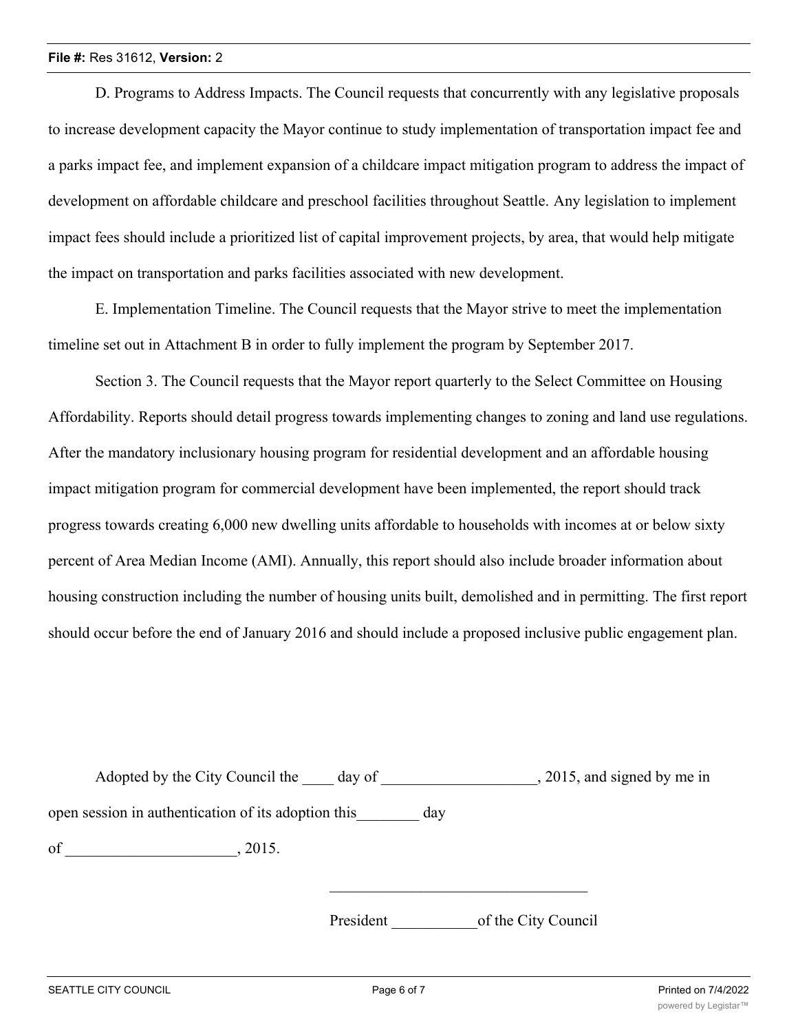D. Programs to Address Impacts. The Council requests that concurrently with any legislative proposals to increase development capacity the Mayor continue to study implementation of transportation impact fee and a parks impact fee, and implement expansion of a childcare impact mitigation program to address the impact of development on affordable childcare and preschool facilities throughout Seattle. Any legislation to implement impact fees should include a prioritized list of capital improvement projects, by area, that would help mitigate the impact on transportation and parks facilities associated with new development.

E. Implementation Timeline. The Council requests that the Mayor strive to meet the implementation timeline set out in Attachment B in order to fully implement the program by September 2017.

Section 3. The Council requests that the Mayor report quarterly to the Select Committee on Housing Affordability. Reports should detail progress towards implementing changes to zoning and land use regulations. After the mandatory inclusionary housing program for residential development and an affordable housing impact mitigation program for commercial development have been implemented, the report should track progress towards creating 6,000 new dwelling units affordable to households with incomes at or below sixty percent of Area Median Income (AMI). Annually, this report should also include broader information about housing construction including the number of housing units built, demolished and in permitting. The first report should occur before the end of January 2016 and should include a proposed inclusive public engagement plan.

| Adopted by the City Council the                     | day of    | , 2015, and signed by me in |
|-----------------------------------------------------|-----------|-----------------------------|
| open session in authentication of its adoption this | day       |                             |
| of<br>, 2015.                                       |           |                             |
|                                                     | President | of the City Council         |